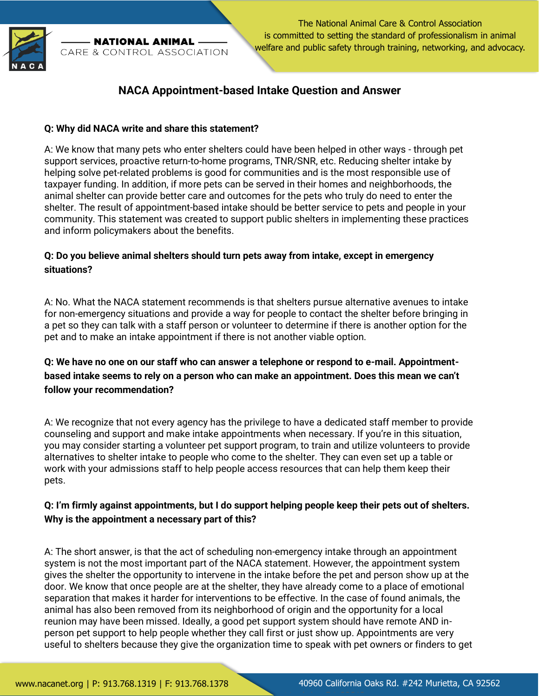

NATIONAL ANIMAL CARE & CONTROL ASSOCIATION

The National Animal Care & Control Association is committed to setting the standard of professionalism in animal welfare and public safety through training, networking, and advocacy.

# **NACA Appointment-based Intake Question and Answer**

#### **Q: Why did NACA write and share this statement?**

A: We know that many pets who enter shelters could have been helped in other ways - through pet support services, proactive return-to-home programs, TNR/SNR, etc. Reducing shelter intake by helping solve pet-related problems is good for communities and is the most responsible use of taxpayer funding. In addition, if more pets can be served in their homes and neighborhoods, the animal shelter can provide better care and outcomes for the pets who truly do need to enter the shelter. The result of appointment-based intake should be better service to pets and people in your community. This statement was created to support public shelters in implementing these practices and inform policymakers about the benefits.

## **Q: Do you believe animal shelters should turn pets away from intake, except in emergency situations?**

A: No. What the NACA statement recommends is that shelters pursue alternative avenues to intake for non-emergency situations and provide a way for people to contact the shelter before bringing in a pet so they can talk with a staff person or volunteer to determine if there is another option for the pet and to make an intake appointment if there is not another viable option.

# **Q: We have no one on our staff who can answer a telephone or respond to e-mail. Appointmentbased intake seems to rely on a person who can make an appointment. Does this mean we can't follow your recommendation?**

A: We recognize that not every agency has the privilege to have a dedicated staff member to provide counseling and support and make intake appointments when necessary. If you're in this situation, you may consider starting a volunteer pet support program, to train and utilize volunteers to provide alternatives to shelter intake to people who come to the shelter. They can even set up a table or work with your admissions staff to help people access resources that can help them keep their pets.

## **Q: I'm firmly against appointments, but I do support helping people keep their pets out of shelters. Why is the appointment a necessary part of this?**

A: The short answer, is that the act of scheduling non-emergency intake through an appointment system is not the most important part of the NACA statement. However, the appointment system gives the shelter the opportunity to intervene in the intake before the pet and person show up at the door. We know that once people are at the shelter, they have already come to a place of emotional separation that makes it harder for interventions to be effective. In the case of found animals, the animal has also been removed from its neighborhood of origin and the opportunity for a local reunion may have been missed. Ideally, a good pet support system should have remote AND inperson pet support to help people whether they call first or just show up. Appointments are very useful to shelters because they give the organization time to speak with pet owners or finders to get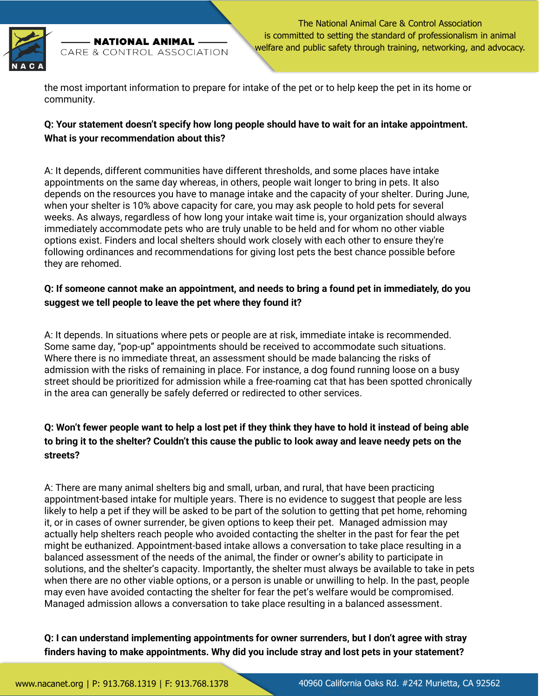

- NATIONAL ANIMAL -CARE & CONTROL ASSOCIATION

The National Animal Care & Control Association is committed to setting the standard of professionalism in animal welfare and public safety through training, networking, and advocacy.

the most important information to prepare for intake of the pet or to help keep the pet in its home or community.

# **Q: Your statement doesn't specify how long people should have to wait for an intake appointment. What is your recommendation about this?**

A: It depends, different communities have different thresholds, and some places have intake appointments on the same day whereas, in others, people wait longer to bring in pets. It also depends on the resources you have to manage intake and the capacity of your shelter. During June, when your shelter is 10% above capacity for care, you may ask people to hold pets for several weeks. As always, regardless of how long your intake wait time is, your organization should always immediately accommodate pets who are truly unable to be held and for whom no other viable options exist. Finders and local shelters should work closely with each other to ensure they're following ordinances and recommendations for giving lost pets the best chance possible before they are rehomed.

# **Q: If someone cannot make an appointment, and needs to bring a found pet in immediately, do you suggest we tell people to leave the pet where they found it?**

A: It depends. In situations where pets or people are at risk, immediate intake is recommended. Some same day, "pop-up" appointments should be received to accommodate such situations. Where there is no immediate threat, an assessment should be made balancing the risks of admission with the risks of remaining in place. For instance, a dog found running loose on a busy street should be prioritized for admission while a free-roaming cat that has been spotted chronically in the area can generally be safely deferred or redirected to other services.

# **Q: Won't fewer people want to help a lost pet if they think they have to hold it instead of being able to bring it to the shelter? Couldn't this cause the public to look away and leave needy pets on the streets?**

A: There are many animal shelters big and small, urban, and rural, that have been practicing appointment-based intake for multiple years. There is no evidence to suggest that people are less likely to help a pet if they will be asked to be part of the solution to getting that pet home, rehoming it, or in cases of owner surrender, be given options to keep their pet. Managed admission may actually help shelters reach people who avoided contacting the shelter in the past for fear the pet might be euthanized. Appointment-based intake allows a conversation to take place resulting in a balanced assessment of the needs of the animal, the finder or owner's ability to participate in solutions, and the shelter's capacity. Importantly, the shelter must always be available to take in pets when there are no other viable options, or a person is unable or unwilling to help. In the past, people may even have avoided contacting the shelter for fear the pet's welfare would be compromised. Managed admission allows a conversation to take place resulting in a balanced assessment.

**Q: I can understand implementing appointments for owner surrenders, but I don't agree with stray finders having to make appointments. Why did you include stray and lost pets in your statement?**